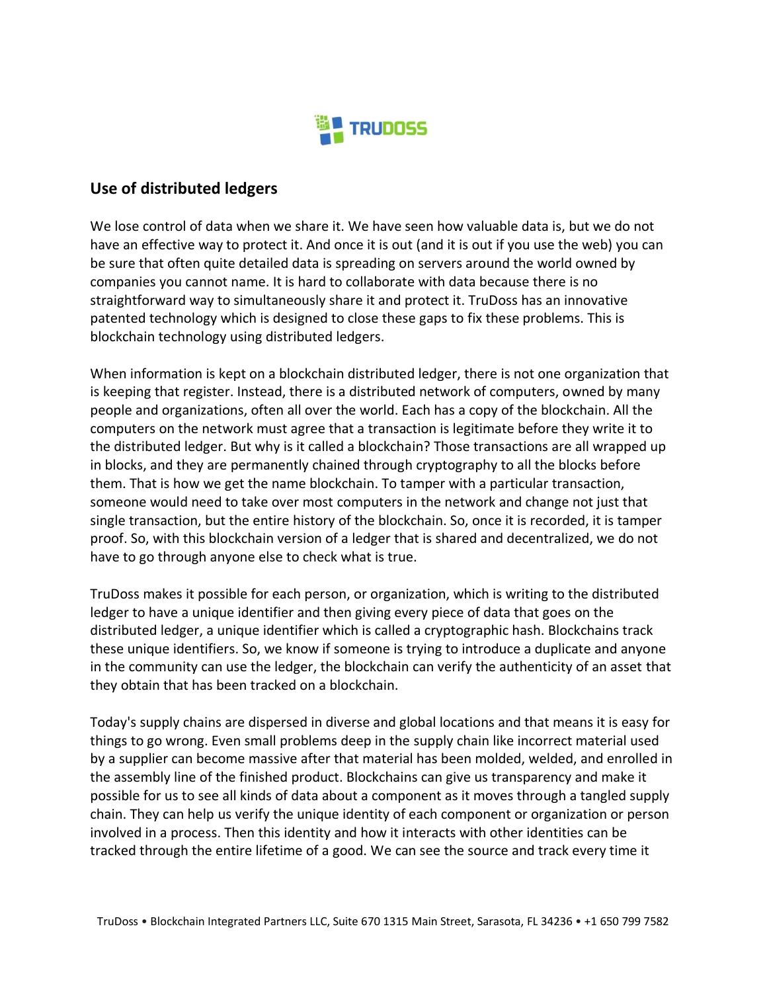

## **Use of distributed ledgers**

We lose control of data when we share it. We have seen how valuable data is, but we do not have an effective way to protect it. And once it is out (and it is out if you use the web) you can be sure that often quite detailed data is spreading on servers around the world owned by companies you cannot name. It is hard to collaborate with data because there is no straightforward way to simultaneously share it and protect it. TruDoss has an innovative patented technology which is designed to close these gaps to fix these problems. This is blockchain technology using distributed ledgers.

When information is kept on a blockchain distributed ledger, there is not one organization that is keeping that register. Instead, there is a distributed network of computers, owned by many people and organizations, often all over the world. Each has a copy of the blockchain. All the computers on the network must agree that a transaction is legitimate before they write it to the distributed ledger. But why is it called a blockchain? Those transactions are all wrapped up in blocks, and they are permanently chained through cryptography to all the blocks before them. That is how we get the name blockchain. To tamper with a particular transaction, someone would need to take over most computers in the network and change not just that single transaction, but the entire history of the blockchain. So, once it is recorded, it is tamper proof. So, with this blockchain version of a ledger that is shared and decentralized, we do not have to go through anyone else to check what is true.

TruDoss makes it possible for each person, or organization, which is writing to the distributed ledger to have a unique identifier and then giving every piece of data that goes on the distributed ledger, a unique identifier which is called a cryptographic hash. Blockchains track these unique identifiers. So, we know if someone is trying to introduce a duplicate and anyone in the community can use the ledger, the blockchain can verify the authenticity of an asset that they obtain that has been tracked on a blockchain.

Today's supply chains are dispersed in diverse and global locations and that means it is easy for things to go wrong. Even small problems deep in the supply chain like incorrect material used by a supplier can become massive after that material has been molded, welded, and enrolled in the assembly line of the finished product. Blockchains can give us transparency and make it possible for us to see all kinds of data about a component as it moves through a tangled supply chain. They can help us verify the unique identity of each component or organization or person involved in a process. Then this identity and how it interacts with other identities can be tracked through the entire lifetime of a good. We can see the source and track every time it